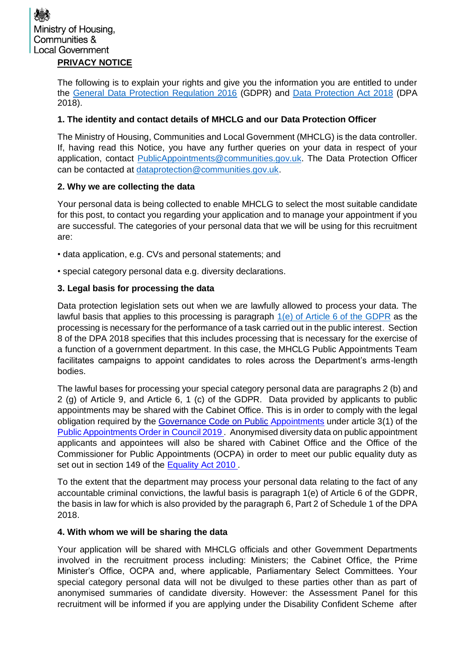The following is to explain your rights and give you the information you are entitled to under the [General Data Protection Regulation 2016](https://gdpr-info.eu/) (GDPR) and [Data Protection Act 2018](http://www.legislation.gov.uk/ukpga/2018/12/contents/enacted) (DPA 2018).

## **1. The identity and contact details of MHCLG and our Data Protection Officer**

The Ministry of Housing, Communities and Local Government (MHCLG) is the data controller. If, having read this Notice, you have any further queries on your data in respect of your application, contact [PublicAppointments@communities.gov.uk.](mailto:PublicAppointments@communities.gov.uk) The Data Protection Officer can be contacted at [dataprotection@communities.gov.uk.](mailto:dataprotection@communities.gov.uk)

## **2. Why we are collecting the data**

Your personal data is being collected to enable MHCLG to select the most suitable candidate for this post, to contact you regarding your application and to manage your appointment if you are successful. The categories of your personal data that we will be using for this recruitment are:

- data application, e.g. CVs and personal statements; and
- special category personal data e.g. diversity declarations.

## **3. Legal basis for processing the data**

Data protection legislation sets out when we are lawfully allowed to process your data. The lawful basis that applies to this processing is paragraph  $1(e)$  of Article 6 of the GDPR as the processing is necessary for the performance of a task carried out in the public interest. Section 8 of the DPA 2018 specifies that this includes processing that is necessary for the exercise of a function of a government department. In this case, the MHCLG Public Appointments Team facilitates campaigns to appoint candidates to roles across the Department's arms-length bodies.

The lawful bases for processing your special category personal data are paragraphs 2 (b) and 2 (g) of Article 9, and Article 6, 1 (c) of the GDPR. Data provided by applicants to public appointments may be shared with the Cabinet Office. This is in order to comply with the legal obligation required by the [Governance Code on Public](https://assets.publishing.service.gov.uk/government/uploads/system/uploads/attachment_data/file/578498/governance_code_on_public_appointments_16_12_2016.pdf) Appointments under article 3(1) of the [Public Appointments Order in Council 2019](https://publicappointments.cabinetoffice.gov.uk/wp-content/uploads/2019/11/Public-Appointments-No.-2-Order-in-Council-2019.pdf) . Anonymised diversity data on public appointment applicants and appointees will also be shared with Cabinet Office and the Office of the Commissioner for Public Appointments (OCPA) in order to meet our public equality duty as set out in section 149 of the [Equality Act 2010](https://www.legislation.gov.uk/ukpga/2010/15/contents).

To the extent that the department may process your personal data relating to the fact of any accountable criminal convictions, the lawful basis is paragraph 1(e) of Article 6 of the GDPR, the basis in law for which is also provided by the paragraph 6, Part 2 of Schedule 1 of the DPA 2018.

### **4. With whom we will be sharing the data**

Your application will be shared with MHCLG officials and other Government Departments involved in the recruitment process including: Ministers; the Cabinet Office, the Prime Minister's Office, OCPA and, where applicable, Parliamentary Select Committees. Your special category personal data will not be divulged to these parties other than as part of anonymised summaries of candidate diversity. However: the Assessment Panel for this recruitment will be informed if you are applying under the Disability Confident Scheme after